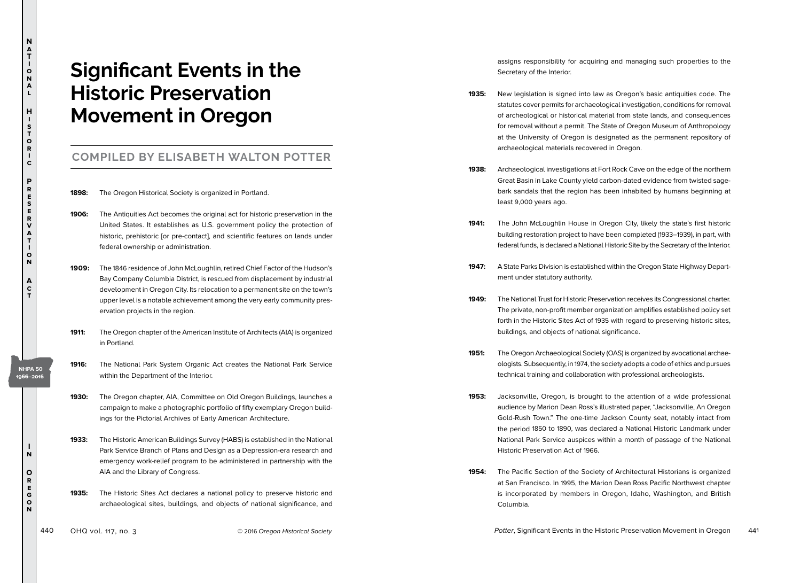## **Significant Events in the Historic Preservation Movement in Oregon**

## **COMPILED BY ELISABETH WALTON POTTER**

- **1898:** The Oregon Historical Society is organized in Portland.
- **1906:** The Antiquities Act becomes the original act for historic preservation in the United States. It establishes as U.S. government policy the protection of historic, prehistoric [or pre-contact], and scientific features on lands under federal ownership or administration.
- **1909:** The 1846 residence of John McLoughlin, retired Chief Factor of the Hudson's Bay Company Columbia District, is rescued from displacement by industrial development in Oregon City. Its relocation to a permanent site on the town's upper level is a notable achievement among the very early community preservation projects in the region.
- **1911:** The Oregon chapter of the American Institute of Architects (AIA) is organized in Portland.
- **1916:** The National Park System Organic Act creates the National Park Service within the Department of the Interior.
- **1930:** The Oregon chapter, AIA, Committee on Old Oregon Buildings, launches a campaign to make a photographic portfolio of fifty exemplary Oregon buildings for the Pictorial Archives of Early American Architecture.
- **1933:** The Historic American Buildings Survey (HABS) is established in the National Park Service Branch of Plans and Design as a Depression-era research and emergency work-relief program to be administered in partnership with the AIA and the Library of Congress.
- **1935:** The Historic Sites Act declares a national policy to preserve historic and archaeological sites, buildings, and objects of national significance, and

assigns responsibility for acquiring and managing such properties to the Secretary of the Interior.

- **1935:** New legislation is signed into law as Oregon's basic antiquities code. The statutes cover permits for archaeological investigation, conditions for removal of archeological or historical material from state lands, and consequences for removal without a permit. The State of Oregon Museum of Anthropology at the University of Oregon is designated as the permanent repository of archaeological materials recovered in Oregon.
- **1938:** Archaeological investigations at Fort Rock Cave on the edge of the northern Great Basin in Lake County yield carbon-dated evidence from twisted sagebark sandals that the region has been inhabited by humans beginning at least 9,000 years ago.
- **1941:** The John McLoughlin House in Oregon City, likely the state's first historic building restoration project to have been completed (1933–1939), in part, with federal funds, is declared a National Historic Site by the Secretary of the Interior.
- **1947:** A State Parks Division is established within the Oregon State Highway Department under statutory authority.
- **1949:** The National Trust for Historic Preservation receives its Congressional charter. The private, non-profit member organization amplifies established policy set forth in the Historic Sites Act of 1935 with regard to preserving historic sites, buildings, and objects of national significance.
- **1951:** The Oregon Archaeological Society (OAS) is organized by avocational archaeologists. Subsequently, in 1974, the society adopts a code of ethics and pursues technical training and collaboration with professional archeologists.
- **1953:** Jacksonville, Oregon, is brought to the attention of a wide professional audience by Marion Dean Ross's illustrated paper, "Jacksonville, An Oregon Gold-Rush Town." The one-time Jackson County seat, notably intact from the period 1850 to 1890, was declared a National Historic Landmark under National Park Service auspices within a month of passage of the National Historic Preservation Act of 1966.
- **1954:** The Pacific Section of the Society of Architectural Historians is organized at San Francisco. In 1995, the Marion Dean Ross Pacific Northwest chapter is incorporated by members in Oregon, Idaho, Washington, and British Columbia.

**N a T i o n a l**

**H i s t o r i c**

**P r e s e r v a t i o n**

**A c t**

**I n**

**NHPA 50 1966–2016**

> **O r e g o n**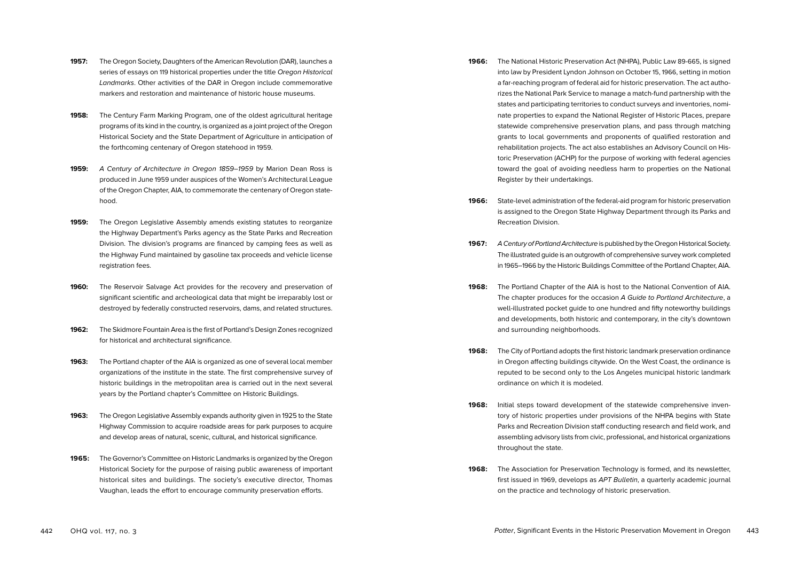- **1957:** The Oregon Society, Daughters of the American Revolution (DAR), launches a series of essays on 119 historical properties under the title Oregon Historical Landmarks. Other activities of the DAR in Oregon include commemorative markers and restoration and maintenance of historic house museums.
- **1958:** The Century Farm Marking Program, one of the oldest agricultural heritage programs of its kind in the country, is organized as a joint project of the Oregon Historical Society and the State Department of Agriculture in anticipation of the forthcoming centenary of Oregon statehood in 1959.
- **1959:** A Century of Architecture in Oregon 1859–1959 by Marion Dean Ross is produced in June 1959 under auspices of the Women's Architectural League of the Oregon Chapter, AIA, to commemorate the centenary of Oregon statehood.
- **1959:** The Oregon Legislative Assembly amends existing statutes to reorganize the Highway Department's Parks agency as the State Parks and Recreation Division. The division's programs are financed by camping fees as well as the Highway Fund maintained by gasoline tax proceeds and vehicle license registration fees.
- **1960:** The Reservoir Salvage Act provides for the recovery and preservation of significant scientific and archeological data that might be irreparably lost or destroyed by federally constructed reservoirs, dams, and related structures.
- **1962:** The Skidmore Fountain Area is the first of Portland's Design Zones recognized for historical and architectural significance.
- **1963:** The Portland chapter of the AIA is organized as one of several local member organizations of the institute in the state. The first comprehensive survey of historic buildings in the metropolitan area is carried out in the next several years by the Portland chapter's Committee on Historic Buildings.
- **1963:** The Oregon Legislative Assembly expands authority given in 1925 to the State Highway Commission to acquire roadside areas for park purposes to acquire and develop areas of natural, scenic, cultural, and historical significance.
- **1965:** The Governor's Committee on Historic Landmarks is organized by the Oregon Historical Society for the purpose of raising public awareness of important historical sites and buildings. The society's executive director, Thomas Vaughan, leads the effort to encourage community preservation efforts.
- **1966:** The National Historic Preservation Act (NHPA), Public Law 89-665, is signed into law by President Lyndon Johnson on October 15, 1966, setting in motion a far-reaching program of federal aid for historic preservation. The act authorizes the National Park Service to manage a match-fund partnership with the states and participating territories to conduct surveys and inventories, nominate properties to expand the National Register of Historic Places, prepare statewide comprehensive preservation plans, and pass through matching grants to local governments and proponents of qualified restoration and rehabilitation projects. The act also establishes an Advisory Council on Historic Preservation (ACHP) for the purpose of working with federal agencies toward the goal of avoiding needless harm to properties on the National Register by their undertakings.
- **1966:** State-level administration of the federal-aid program for historic preservation is assigned to the Oregon State Highway Department through its Parks and Recreation Division.
- **1967:** A Century of Portland Architecture is published by the Oregon Historical Society. The illustrated guide is an outgrowth of comprehensive survey work completed in 1965–1966 by the Historic Buildings Committee of the Portland Chapter, AIA.
- **1968:** The Portland Chapter of the AIA is host to the National Convention of AIA. The chapter produces for the occasion A Guide to Portland Architecture, a well-illustrated pocket guide to one hundred and fifty noteworthy buildings and developments, both historic and contemporary, in the city's downtown and surrounding neighborhoods.
- **1968:** The City of Portland adopts the first historic landmark preservation ordinance in Oregon affecting buildings citywide. On the West Coast, the ordinance is reputed to be second only to the Los Angeles municipal historic landmark ordinance on which it is modeled.
- **1968:** Initial steps toward development of the statewide comprehensive inventory of historic properties under provisions of the NHPA begins with State Parks and Recreation Division staff conducting research and field work, and assembling advisory lists from civic, professional, and historical organizations throughout the state.
- **1968:** The Association for Preservation Technology is formed, and its newsletter, first issued in 1969, develops as APT Bulletin, a quarterly academic journal on the practice and technology of historic preservation.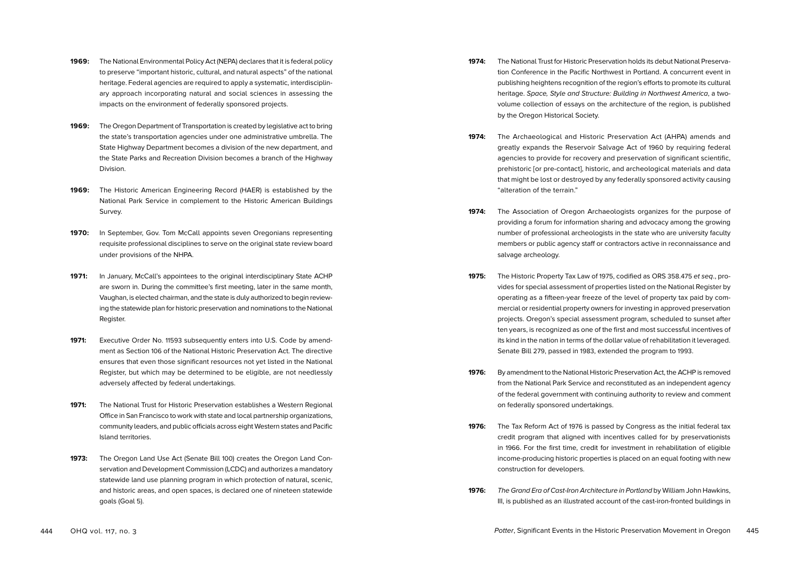- **1969:** The National Environmental Policy Act (NEPA) declares that it is federal policy to preserve "important historic, cultural, and natural aspects" of the national heritage. Federal agencies are required to apply a systematic, interdisciplinary approach incorporating natural and social sciences in assessing the impacts on the environment of federally sponsored projects.
- **1969:** The Oregon Department of Transportation is created by legislative act to bring the state's transportation agencies under one administrative umbrella. The State Highway Department becomes a division of the new department, and the State Parks and Recreation Division becomes a branch of the Highway Division.
- **1969:** The Historic American Engineering Record (HAER) is established by the National Park Service in complement to the Historic American Buildings Survey.
- **1970:** In September, Gov. Tom McCall appoints seven Oregonians representing requisite professional disciplines to serve on the original state review board under provisions of the NHPA.
- **1971:** In January, McCall's appointees to the original interdisciplinary State ACHP are sworn in. During the committee's first meeting, later in the same month, Vaughan, is elected chairman, and the state is duly authorized to begin reviewing the statewide plan for historic preservation and nominations to the National Register.
- **1971:** Executive Order No. 11593 subsequently enters into U.S. Code by amendment as Section 106 of the National Historic Preservation Act. The directive ensures that even those significant resources not yet listed in the National Register, but which may be determined to be eligible, are not needlessly adversely affected by federal undertakings.
- **1971:** The National Trust for Historic Preservation establishes a Western Regional Office in San Francisco to work with state and local partnership organizations, community leaders, and public officials across eight Western states and Pacific Island territories.
- **1973:** The Oregon Land Use Act (Senate Bill 100) creates the Oregon Land Conservation and Development Commission (LCDC) and authorizes a mandatory statewide land use planning program in which protection of natural, scenic, and historic areas, and open spaces, is declared one of nineteen statewide goals (Goal 5).
- **1974:** The National Trust for Historic Preservation holds its debut National Preservation Conference in the Pacific Northwest in Portland. A concurrent event in publishing heightens recognition of the region's efforts to promote its cultural heritage. Space, Style and Structure: Building in Northwest America, a twovolume collection of essays on the architecture of the region, is published by the Oregon Historical Society.
- **1974:** The Archaeological and Historic Preservation Act (AHPA) amends and greatly expands the Reservoir Salvage Act of 1960 by requiring federal agencies to provide for recovery and preservation of significant scientific, prehistoric [or pre-contact], historic, and archeological materials and data that might be lost or destroyed by any federally sponsored activity causing "alteration of the terrain."
- **1974:** The Association of Oregon Archaeologists organizes for the purpose of providing a forum for information sharing and advocacy among the growing number of professional archeologists in the state who are university faculty members or public agency staff or contractors active in reconnaissance and salvage archeology.
- **1975:** The Historic Property Tax Law of 1975, codified as ORS 358.475 et seq., provides for special assessment of properties listed on the National Register by operating as a fifteen-year freeze of the level of property tax paid by commercial or residential property owners for investing in approved preservation projects. Oregon's special assessment program, scheduled to sunset after ten years, is recognized as one of the first and most successful incentives of its kind in the nation in terms of the dollar value of rehabilitation it leveraged. Senate Bill 279, passed in 1983, extended the program to 1993.
- **1976:** By amendment to the National Historic Preservation Act, the ACHP is removed from the National Park Service and reconstituted as an independent agency of the federal government with continuing authority to review and comment on federally sponsored undertakings.
- **1976:** The Tax Reform Act of 1976 is passed by Congress as the initial federal tax credit program that aligned with incentives called for by preservationists in 1966. For the first time, credit for investment in rehabilitation of eligible income-producing historic properties is placed on an equal footing with new construction for developers.
- **1976:** The Grand Era of Cast-Iron Architecture in Portland by William John Hawkins, III, is published as an illustrated account of the cast-iron-fronted buildings in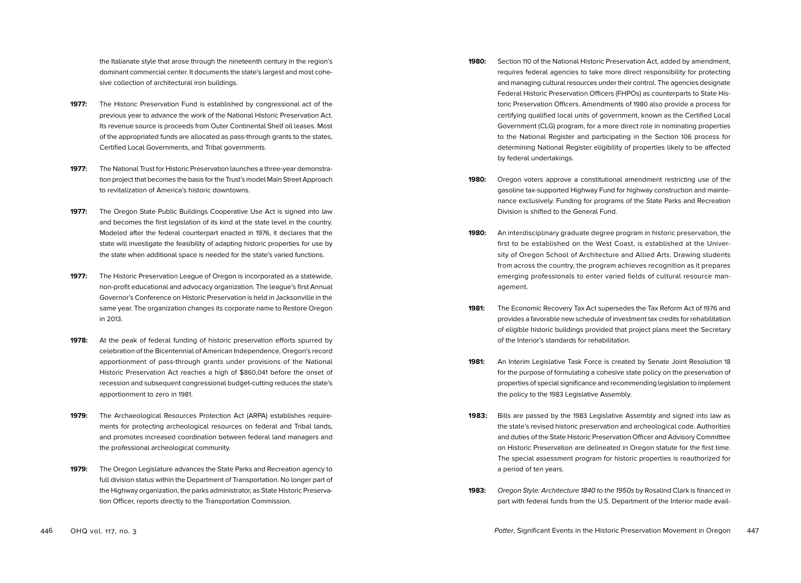the Italianate style that arose through the nineteenth century in the region's dominant commercial center. It documents the state's largest and most cohesive collection of architectural iron buildings.

- **1977:** The Historic Preservation Fund is established by congressional act of the previous year to advance the work of the National Historic Preservation Act. Its revenue source is proceeds from Outer Continental Shelf oil leases. Most of the appropriated funds are allocated as pass-through grants to the states, Certified Local Governments, and Tribal governments.
- **1977:** The National Trust for Historic Preservation launches a three-year demonstration project that becomes the basis for the Trust's model Main Street Approach to revitalization of America's historic downtowns.
- **1977:** The Oregon State Public Buildings Cooperative Use Act is signed into law and becomes the first legislation of its kind at the state level in the country. Modeled after the federal counterpart enacted in 1976, it declares that the state will investigate the feasibility of adapting historic properties for use by the state when additional space is needed for the state's varied functions.
- **1977:** The Historic Preservation League of Oregon is incorporated as a statewide, non-profit educational and advocacy organization. The league's first Annual Governor's Conference on Historic Preservation is held in Jacksonville in the same year. The organization changes its corporate name to Restore Oregon in 2013.
- **1978:** At the peak of federal funding of historic preservation efforts spurred by celebration of the Bicentennial of American Independence, Oregon's record apportionment of pass-through grants under provisions of the National Historic Preservation Act reaches a high of \$860,041 before the onset of recession and subsequent congressional budget-cutting reduces the state's apportionment to zero in 1981.
- **1979:** The Archaeological Resources Protection Act (ARPA) establishes requirements for protecting archeological resources on federal and Tribal lands, and promotes increased coordination between federal land managers and the professional archeological community.
- **1979:** The Oregon Legislature advances the State Parks and Recreation agency to full division status within the Department of Transportation. No longer part of the Highway organization, the parks administrator, as State Historic Preservation Officer, reports directly to the Transportation Commission.
- **1980:** Section 110 of the National Historic Preservation Act, added by amendment, requires federal agencies to take more direct responsibility for protecting and managing cultural resources under their control. The agencies designate Federal Historic Preservation Officers (FHPOs) as counterparts to State Historic Preservation Officers. Amendments of 1980 also provide a process for certifying qualified local units of government, known as the Certified Local Government (CLG) program, for a more direct role in nominating properties to the National Register and participating in the Section 106 process for determining National Register eligibility of properties likely to be affected by federal undertakings.
- **1980:** Oregon voters approve a constitutional amendment restricting use of the gasoline tax-supported Highway Fund for highway construction and maintenance exclusively. Funding for programs of the State Parks and Recreation Division is shifted to the General Fund.
- **1980:** An interdisciplinary graduate degree program in historic preservation, the first to be established on the West Coast, is established at the University of Oregon School of Architecture and Allied Arts. Drawing students from across the country, the program achieves recognition as it prepares emerging professionals to enter varied fields of cultural resource management.
- **1981:** The Economic Recovery Tax Act supersedes the Tax Reform Act of 1976 and provides a favorable new schedule of investment tax credits for rehabilitation of eligible historic buildings provided that project plans meet the Secretary of the Interior's standards for rehabilitation.
- **1981:** An Interim Legislative Task Force is created by Senate Joint Resolution 18 for the purpose of formulating a cohesive state policy on the preservation of properties of special significance and recommending legislation to implement the policy to the 1983 Legislative Assembly.
- **1983:** Bills are passed by the 1983 Legislative Assembly and signed into law as the state's revised historic preservation and archeological code. Authorities and duties of the State Historic Preservation Officer and Advisory Committee on Historic Preservation are delineated in Oregon statute for the first time. The special assessment program for historic properties is reauthorized for a period of ten years.
- **1983:** Oregon Style: Architecture 1840 to the 1950s by Rosalind Clark is financed in part with federal funds from the U.S. Department of the Interior made avail-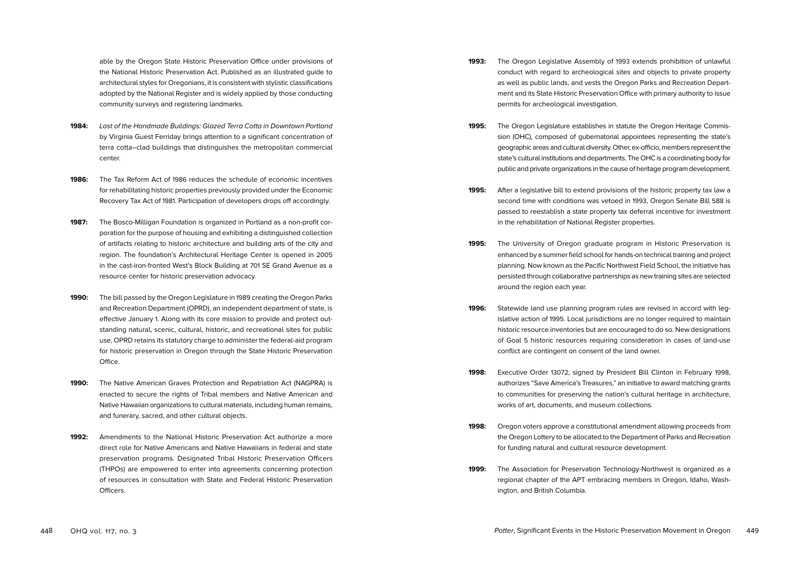able by the Oregon State Historic Preservation Office under provisions of the National Historic Preservation Act. Published as an illustrated guide to architectural styles for Oregonians, it is consistent with stylistic classifications adopted by the National Register and is widely applied by those conducting community surveys and registering landmarks.

- **1984:** Last of the Handmade Buildings: Glazed Terra Cotta in Downtown Portland by Virginia Guest Ferriday brings attention to a significant concentration of terra cotta–clad buildings that distinguishes the metropolitan commercial center.
- **1986:** The Tax Reform Act of 1986 reduces the schedule of economic incentives for rehabilitating historic properties previously provided under the Economic Recovery Tax Act of 1981. Participation of developers drops off accordingly.
- **1987:** The Bosco-Milligan Foundation is organized in Portland as a non-profit corporation for the purpose of housing and exhibiting a distinguished collection of artifacts relating to historic architecture and building arts of the city and region. The foundation's Architectural Heritage Center is opened in 2005 in the cast-iron-fronted West's Block Building at 701 SE Grand Avenue as a resource center for historic preservation advocacy.
- **1990:** The bill passed by the Oregon Legislature in 1989 creating the Oregon Parks and Recreation Department (OPRD), an independent department of state, is effective January 1. Along with its core mission to provide and protect outstanding natural, scenic, cultural, historic, and recreational sites for public use, OPRD retains its statutory charge to administer the federal-aid program for historic preservation in Oregon through the State Historic Preservation Office.
- **1990:** The Native American Graves Protection and Repatriation Act (NAGPRA) is enacted to secure the rights of Tribal members and Native American and Native Hawaiian organizations to cultural materials, including human remains, and funerary, sacred, and other cultural objects.
- **1992:** Amendments to the National Historic Preservation Act authorize a more direct role for Native Americans and Native Hawaiians in federal and state preservation programs. Designated Tribal Historic Preservation Officers (THPOs) are empowered to enter into agreements concerning protection of resources in consultation with State and Federal Historic Preservation Officers.
- **1993:** The Oregon Legislative Assembly of 1993 extends prohibition of unlawful conduct with regard to archeological sites and objects to private property as well as public lands, and vests the Oregon Parks and Recreation Department and its State Historic Preservation Office with primary authority to issue permits for archeological investigation.
- **1995:** The Oregon Legislature establishes in statute the Oregon Heritage Commission (OHC), composed of gubernatorial appointees representing the state's geographic areas and cultural diversity. Other, ex-officio, members represent the state's cultural institutions and departments. The OHC is a coordinating body for public and private organizations in the cause of heritage program development.
- **1995:** After a legislative bill to extend provisions of the historic property tax law a second time with conditions was vetoed in 1993, Oregon Senate Bill 588 is passed to reestablish a state property tax deferral incentive for investment in the rehabilitation of National Register properties.
- **1995:** The University of Oregon graduate program in Historic Preservation is enhanced by a summer field school for hands-on technical training and project planning. Now known as the Pacific Northwest Field School, the initiative has persisted through collaborative partnerships as new training sites are selected around the region each year.
- **1996:** Statewide land use planning program rules are revised in accord with legislative action of 1995. Local jurisdictions are no longer required to maintain historic resource inventories but are encouraged to do so. New designations of Goal 5 historic resources requiring consideration in cases of land-use conflict are contingent on consent of the land owner.
- **1998:** Executive Order 13072, signed by President Bill Clinton in February 1998, authorizes "Save America's Treasures," an initiative to award matching grants to communities for preserving the nation's cultural heritage in architecture, works of art, documents, and museum collections.
- **1998:** Oregon voters approve a constitutional amendment allowing proceeds from the Oregon Lottery to be allocated to the Department of Parks and Recreation for funding natural and cultural resource development.
- **1999:** The Association for Preservation Technology-Northwest is organized as a regional chapter of the APT embracing members in Oregon, Idaho, Washington, and British Columbia.